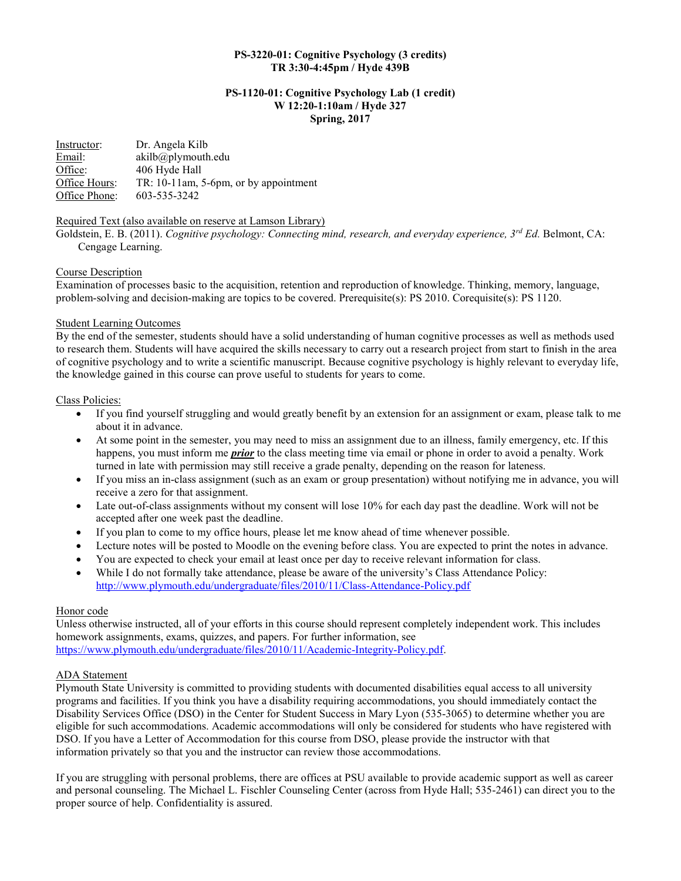## PS-3220-01: Cognitive Psychology (3 credits) TR 3:30-4:45pm / Hyde 439B

#### PS-1120-01: Cognitive Psychology Lab (1 credit) W 12:20-1:10am / Hyde 327 Spring, 2017

| Instructor:   | Dr. Angela Kilb                       |
|---------------|---------------------------------------|
| Email:        | akilb@plymouth.edu                    |
| Office:       | 406 Hyde Hall                         |
| Office Hours: | TR: 10-11am, 5-6pm, or by appointment |
| Office Phone: | 603-535-3242                          |

## Required Text (also available on reserve at Lamson Library)

Goldstein, E. B. (2011). Cognitive psychology: Connecting mind, research, and everyday experience, 3rd Ed. Belmont, CA: Cengage Learning.

## Course Description

Examination of processes basic to the acquisition, retention and reproduction of knowledge. Thinking, memory, language, problem-solving and decision-making are topics to be covered. Prerequisite(s): PS 2010. Corequisite(s): PS 1120.

## Student Learning Outcomes

By the end of the semester, students should have a solid understanding of human cognitive processes as well as methods used to research them. Students will have acquired the skills necessary to carry out a research project from start to finish in the area of cognitive psychology and to write a scientific manuscript. Because cognitive psychology is highly relevant to everyday life, the knowledge gained in this course can prove useful to students for years to come.

## Class Policies:

- If you find yourself struggling and would greatly benefit by an extension for an assignment or exam, please talk to me about it in advance.
- At some point in the semester, you may need to miss an assignment due to an illness, family emergency, etc. If this happens, you must inform me *prior* to the class meeting time via email or phone in order to avoid a penalty. Work turned in late with permission may still receive a grade penalty, depending on the reason for lateness.
- If you miss an in-class assignment (such as an exam or group presentation) without notifying me in advance, you will receive a zero for that assignment.
- Late out-of-class assignments without my consent will lose 10% for each day past the deadline. Work will not be accepted after one week past the deadline.
- If you plan to come to my office hours, please let me know ahead of time whenever possible.
- Lecture notes will be posted to Moodle on the evening before class. You are expected to print the notes in advance.
- You are expected to check your email at least once per day to receive relevant information for class.
- While I do not formally take attendance, please be aware of the university's Class Attendance Policy: http://www.plymouth.edu/undergraduate/files/2010/11/Class-Attendance-Policy.pdf

#### Honor code

Unless otherwise instructed, all of your efforts in this course should represent completely independent work. This includes homework assignments, exams, quizzes, and papers. For further information, see https://www.plymouth.edu/undergraduate/files/2010/11/Academic-Integrity-Policy.pdf.

#### ADA Statement

Plymouth State University is committed to providing students with documented disabilities equal access to all university programs and facilities. If you think you have a disability requiring accommodations, you should immediately contact the Disability Services Office (DSO) in the Center for Student Success in Mary Lyon (535-3065) to determine whether you are eligible for such accommodations. Academic accommodations will only be considered for students who have registered with DSO. If you have a Letter of Accommodation for this course from DSO, please provide the instructor with that information privately so that you and the instructor can review those accommodations.

If you are struggling with personal problems, there are offices at PSU available to provide academic support as well as career and personal counseling. The Michael L. Fischler Counseling Center (across from Hyde Hall; 535-2461) can direct you to the proper source of help. Confidentiality is assured.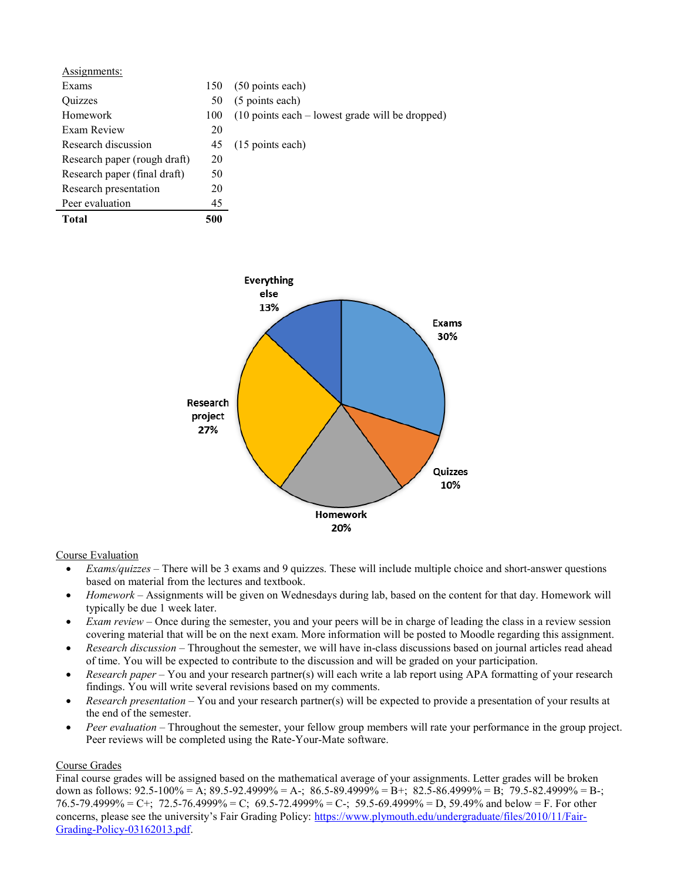| Assignments:                 |     |                                                                  |
|------------------------------|-----|------------------------------------------------------------------|
| Exams                        | 150 | (50 points each)                                                 |
| <b>Ouizzes</b>               | 50  | (5 points each)                                                  |
| Homework                     | 100 | $(10 \text{ points each} - \text{lowest grade will be dropped})$ |
| Exam Review                  | 20  |                                                                  |
| Research discussion          | 45  | (15 points each)                                                 |
| Research paper (rough draft) | 20  |                                                                  |
| Research paper (final draft) | 50  |                                                                  |
| Research presentation        | 20  |                                                                  |
| Peer evaluation              | 45  |                                                                  |
| <b>Total</b>                 | 500 |                                                                  |



## Course Evaluation

- $\bullet$  *Exams/quizzes* There will be 3 exams and 9 quizzes. These will include multiple choice and short-answer questions based on material from the lectures and textbook.
- Homework Assignments will be given on Wednesdays during lab, based on the content for that day. Homework will typically be due 1 week later.
- Exam review Once during the semester, you and your peers will be in charge of leading the class in a review session covering material that will be on the next exam. More information will be posted to Moodle regarding this assignment.
- Research discussion Throughout the semester, we will have in-class discussions based on journal articles read ahead of time. You will be expected to contribute to the discussion and will be graded on your participation.
- Research paper You and your research partner(s) will each write a lab report using APA formatting of your research findings. You will write several revisions based on my comments.
- Exerch presentation You and your research partner(s) will be expected to provide a presentation of your results at the end of the semester.
- Peer evaluation Throughout the semester, your fellow group members will rate your performance in the group project. Peer reviews will be completed using the Rate-Your-Mate software.

# Course Grades

Final course grades will be assigned based on the mathematical average of your assignments. Letter grades will be broken down as follows:  $92.5-100\% = A$ ;  $89.5-92.4999\% = A$ -;  $86.5-89.4999\% = B$ +;  $82.5-86.4999\% = B$ ;  $79.5-82.4999\% = B$ -; 76.5-79.4999% = C+; 72.5-76.4999% = C; 69.5-72.4999% = C-; 59.5-69.4999% = D, 59.49% and below = F. For other concerns, please see the university's Fair Grading Policy: https://www.plymouth.edu/undergraduate/files/2010/11/Fair-Grading-Policy-03162013.pdf.